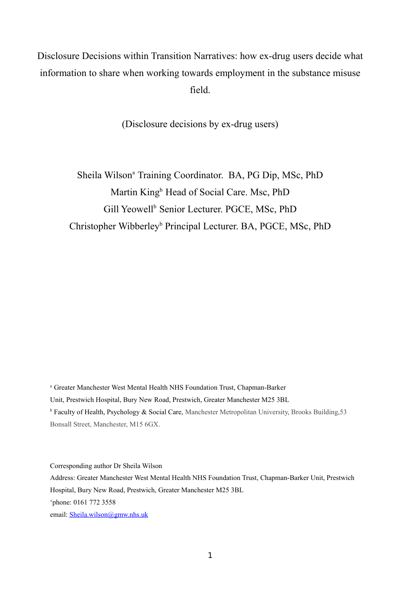Disclosure Decisions within Transition Narratives: how ex-drug users decide what information to share when working towards employment in the substance misuse field.

(Disclosure decisions by ex-drug users)

Sheila Wilson<sup>a</sup> Training Coordinator. BA, PG Dip, MSc, PhD Martin King<sup>b</sup> Head of Social Care. Msc, PhD Gill Yeowell<sup>b</sup> Senior Lecturer. PGCE, MSc, PhD Christopher Wibberley<sup>b</sup> Principal Lecturer. BA, PGCE, MSc, PhD

<sup>a</sup> Greater Manchester West Mental Health NHS Foundation Trust, Chapman-Barker Unit, Prestwich Hospital, Bury New Road, Prestwich, Greater Manchester M25 3BL <sup>b</sup> Faculty of Health, Psychology & Social Care, Manchester Metropolitan University, Brooks Building, 53 Bonsall Street, Manchester, M15 6GX.

Corresponding author Dr Sheila Wilson

Address: Greater Manchester West Mental Health NHS Foundation Trust, Chapman-Barker Unit, Prestwich Hospital, Bury New Road, Prestwich, Greater Manchester M25 3BL 'phone: 0161 772 3558 email: [Sheila.wilson@gmw.nhs.uk](mailto:Sheila.wilson@gmw.nhs.uk)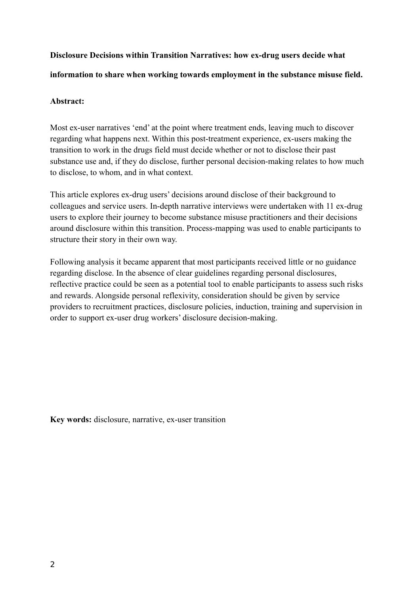# **Disclosure Decisions within Transition Narratives: how ex-drug users decide what**

# **information to share when working towards employment in the substance misuse field.**

# **Abstract:**

Most ex-user narratives 'end' at the point where treatment ends, leaving much to discover regarding what happens next. Within this post-treatment experience, ex-users making the transition to work in the drugs field must decide whether or not to disclose their past substance use and, if they do disclose, further personal decision-making relates to how much to disclose, to whom, and in what context.

This article explores ex-drug users' decisions around disclose of their background to colleagues and service users. In-depth narrative interviews were undertaken with 11 ex-drug users to explore their journey to become substance misuse practitioners and their decisions around disclosure within this transition. Process-mapping was used to enable participants to structure their story in their own way.

Following analysis it became apparent that most participants received little or no guidance regarding disclose. In the absence of clear guidelines regarding personal disclosures, reflective practice could be seen as a potential tool to enable participants to assess such risks and rewards. Alongside personal reflexivity, consideration should be given by service providers to recruitment practices, disclosure policies, induction, training and supervision in order to support ex-user drug workers' disclosure decision-making.

**Key words:** disclosure, narrative, ex-user transition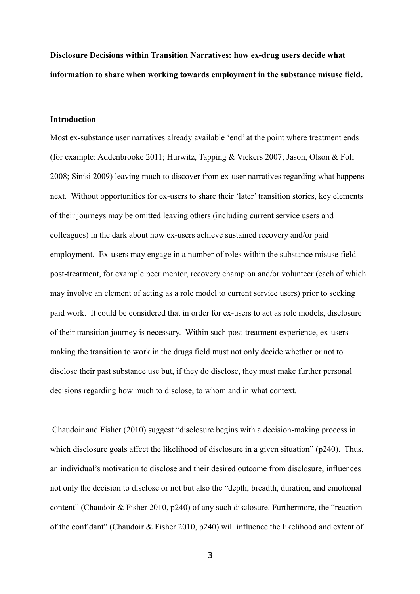**Disclosure Decisions within Transition Narratives: how ex-drug users decide what information to share when working towards employment in the substance misuse field.** 

# **Introduction**

Most ex-substance user narratives already available 'end' at the point where treatment ends (for example: Addenbrooke 2011; Hurwitz, Tapping & Vickers 2007; Jason, Olson & Foli 2008; Sinisi 2009) leaving much to discover from ex-user narratives regarding what happens next. Without opportunities for ex-users to share their 'later' transition stories, key elements of their journeys may be omitted leaving others (including current service users and colleagues) in the dark about how ex-users achieve sustained recovery and/or paid employment. Ex-users may engage in a number of roles within the substance misuse field post-treatment, for example peer mentor, recovery champion and/or volunteer (each of which may involve an element of acting as a role model to current service users) prior to seeking paid work. It could be considered that in order for ex-users to act as role models, disclosure of their transition journey is necessary. Within such post-treatment experience, ex-users making the transition to work in the drugs field must not only decide whether or not to disclose their past substance use but, if they do disclose, they must make further personal decisions regarding how much to disclose, to whom and in what context.

 Chaudoir and Fisher (2010) suggest "disclosure begins with a decision-making process in which disclosure goals affect the likelihood of disclosure in a given situation" (p240). Thus, an individual's motivation to disclose and their desired outcome from disclosure, influences not only the decision to disclose or not but also the "depth, breadth, duration, and emotional content" (Chaudoir & Fisher 2010, p240) of any such disclosure. Furthermore, the "reaction of the confidant" (Chaudoir & Fisher 2010, p240) will influence the likelihood and extent of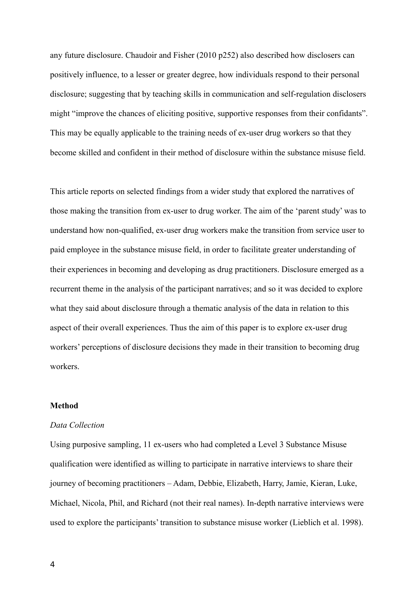any future disclosure. Chaudoir and Fisher (2010 p252) also described how disclosers can positively influence, to a lesser or greater degree, how individuals respond to their personal disclosure; suggesting that by teaching skills in communication and self-regulation disclosers might "improve the chances of eliciting positive, supportive responses from their confidants". This may be equally applicable to the training needs of ex-user drug workers so that they become skilled and confident in their method of disclosure within the substance misuse field.

This article reports on selected findings from a wider study that explored the narratives of those making the transition from ex-user to drug worker. The aim of the 'parent study' was to understand how non-qualified, ex-user drug workers make the transition from service user to paid employee in the substance misuse field, in order to facilitate greater understanding of their experiences in becoming and developing as drug practitioners. Disclosure emerged as a recurrent theme in the analysis of the participant narratives; and so it was decided to explore what they said about disclosure through a thematic analysis of the data in relation to this aspect of their overall experiences. Thus the aim of this paper is to explore ex-user drug workers' perceptions of disclosure decisions they made in their transition to becoming drug workers.

# **Method**

#### *Data Collection*

Using purposive sampling, 11 ex-users who had completed a Level 3 Substance Misuse qualification were identified as willing to participate in narrative interviews to share their journey of becoming practitioners – Adam, Debbie, Elizabeth, Harry, Jamie, Kieran, Luke, Michael, Nicola, Phil, and Richard (not their real names). In-depth narrative interviews were used to explore the participants' transition to substance misuse worker (Lieblich et al. 1998).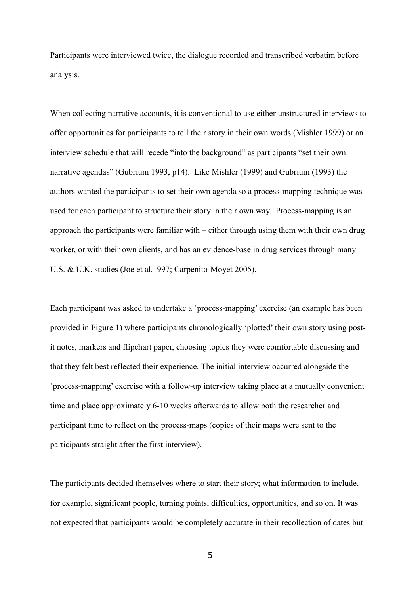Participants were interviewed twice, the dialogue recorded and transcribed verbatim before analysis.

When collecting narrative accounts, it is conventional to use either unstructured interviews to offer opportunities for participants to tell their story in their own words (Mishler 1999) or an interview schedule that will recede "into the background" as participants "set their own narrative agendas" (Gubrium 1993, p14). Like Mishler (1999) and Gubrium (1993) the authors wanted the participants to set their own agenda so a process-mapping technique was used for each participant to structure their story in their own way. Process-mapping is an approach the participants were familiar with – either through using them with their own drug worker, or with their own clients, and has an evidence-base in drug services through many U.S. & U.K. studies (Joe et al.1997; Carpenito-Moyet 2005).

Each participant was asked to undertake a 'process-mapping' exercise (an example has been provided in Figure 1) where participants chronologically 'plotted' their own story using postit notes, markers and flipchart paper, choosing topics they were comfortable discussing and that they felt best reflected their experience. The initial interview occurred alongside the 'process-mapping' exercise with a follow-up interview taking place at a mutually convenient time and place approximately 6-10 weeks afterwards to allow both the researcher and participant time to reflect on the process-maps (copies of their maps were sent to the participants straight after the first interview).

The participants decided themselves where to start their story; what information to include, for example, significant people, turning points, difficulties, opportunities, and so on. It was not expected that participants would be completely accurate in their recollection of dates but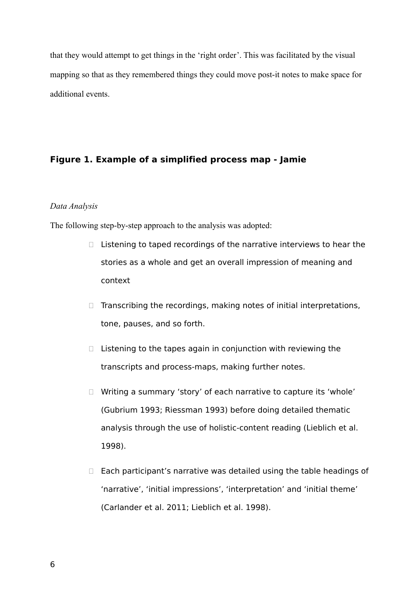that they would attempt to get things in the 'right order'. This was facilitated by the visual mapping so that as they remembered things they could move post-it notes to make space for additional events.

# **Figure 1. Example of a simplified process map - Jamie**

# *Data Analysis*

The following step-by-step approach to the analysis was adopted:

- $\Box$  Listening to taped recordings of the narrative interviews to hear the stories as a whole and get an overall impression of meaning and context
- $\Box$  Transcribing the recordings, making notes of initial interpretations, tone, pauses, and so forth.
- $\Box$  Listening to the tapes again in conjunction with reviewing the transcripts and process-maps, making further notes.
- □ Writing a summary 'story' of each narrative to capture its 'whole' (Gubrium 1993; Riessman 1993) before doing detailed thematic analysis through the use of holistic-content reading (Lieblich et al. 1998).
- $\Box$  Each participant's narrative was detailed using the table headings of 'narrative', 'initial impressions', 'interpretation' and 'initial theme' (Carlander et al. 2011; Lieblich et al. 1998).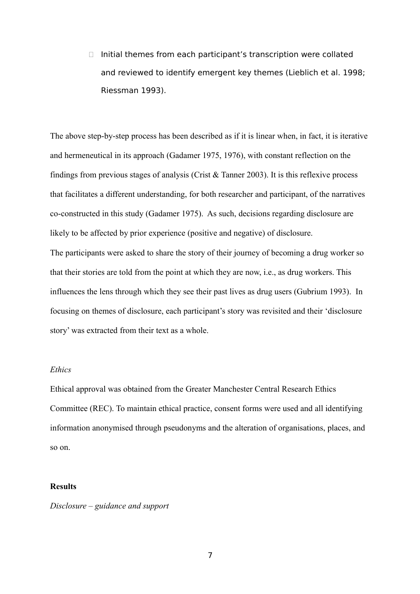$\Box$  Initial themes from each participant's transcription were collated and reviewed to identify emergent key themes (Lieblich et al. 1998; Riessman 1993).

The above step-by-step process has been described as if it is linear when, in fact, it is iterative and hermeneutical in its approach (Gadamer 1975, 1976), with constant reflection on the findings from previous stages of analysis (Crist  $&$  Tanner 2003). It is this reflexive process that facilitates a different understanding, for both researcher and participant, of the narratives co-constructed in this study (Gadamer 1975). As such, decisions regarding disclosure are likely to be affected by prior experience (positive and negative) of disclosure. The participants were asked to share the story of their journey of becoming a drug worker so that their stories are told from the point at which they are now, i.e., as drug workers. This influences the lens through which they see their past lives as drug users (Gubrium 1993). In focusing on themes of disclosure, each participant's story was revisited and their 'disclosure story' was extracted from their text as a whole.

# *Ethics*

Ethical approval was obtained from the Greater Manchester Central Research Ethics Committee (REC). To maintain ethical practice, consent forms were used and all identifying information anonymised through pseudonyms and the alteration of organisations, places, and so on.

#### **Results**

*Disclosure – guidance and support*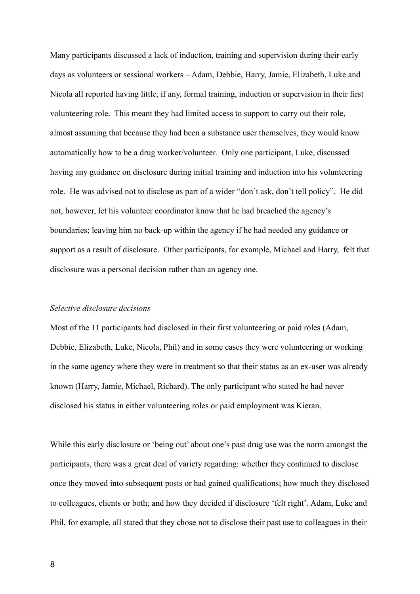Many participants discussed a lack of induction, training and supervision during their early days as volunteers or sessional workers – Adam, Debbie, Harry, Jamie, Elizabeth, Luke and Nicola all reported having little, if any, formal training, induction or supervision in their first volunteering role. This meant they had limited access to support to carry out their role, almost assuming that because they had been a substance user themselves, they would know automatically how to be a drug worker/volunteer. Only one participant, Luke, discussed having any guidance on disclosure during initial training and induction into his volunteering role. He was advised not to disclose as part of a wider "don't ask, don't tell policy". He did not, however, let his volunteer coordinator know that he had breached the agency's boundaries; leaving him no back-up within the agency if he had needed any guidance or support as a result of disclosure. Other participants, for example, Michael and Harry, felt that disclosure was a personal decision rather than an agency one.

#### *Selective disclosure decisions*

Most of the 11 participants had disclosed in their first volunteering or paid roles (Adam, Debbie, Elizabeth, Luke, Nicola, Phil) and in some cases they were volunteering or working in the same agency where they were in treatment so that their status as an ex-user was already known (Harry, Jamie, Michael, Richard). The only participant who stated he had never disclosed his status in either volunteering roles or paid employment was Kieran.

While this early disclosure or 'being out' about one's past drug use was the norm amongst the participants, there was a great deal of variety regarding: whether they continued to disclose once they moved into subsequent posts or had gained qualifications; how much they disclosed to colleagues, clients or both; and how they decided if disclosure 'felt right'. Adam, Luke and Phil, for example, all stated that they chose not to disclose their past use to colleagues in their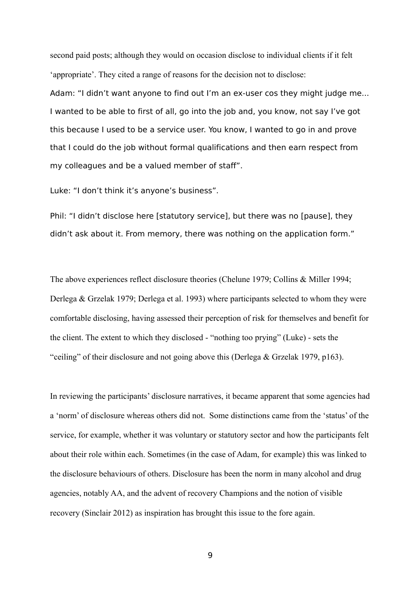second paid posts; although they would on occasion disclose to individual clients if it felt 'appropriate'. They cited a range of reasons for the decision not to disclose:

Adam: "I didn't want anyone to find out I'm an ex-user cos they might judge me... I wanted to be able to first of all, go into the job and, you know, not say I've got this because I used to be a service user. You know, I wanted to go in and prove that I could do the job without formal qualifications and then earn respect from my colleagues and be a valued member of staff".

Luke: "I don't think it's anyone's business".

Phil: "I didn't disclose here [statutory service], but there was no [pause], they didn't ask about it. From memory, there was nothing on the application form."

The above experiences reflect disclosure theories (Chelune 1979; Collins & Miller 1994; Derlega & Grzelak 1979; Derlega et al. 1993) where participants selected to whom they were comfortable disclosing, having assessed their perception of risk for themselves and benefit for the client. The extent to which they disclosed - "nothing too prying" (Luke) - sets the "ceiling" of their disclosure and not going above this (Derlega & Grzelak 1979, p163).

In reviewing the participants' disclosure narratives, it became apparent that some agencies had a 'norm' of disclosure whereas others did not. Some distinctions came from the 'status' of the service, for example, whether it was voluntary or statutory sector and how the participants felt about their role within each. Sometimes (in the case of Adam, for example) this was linked to the disclosure behaviours of others. Disclosure has been the norm in many alcohol and drug agencies, notably AA, and the advent of recovery Champions and the notion of visible recovery (Sinclair 2012) as inspiration has brought this issue to the fore again.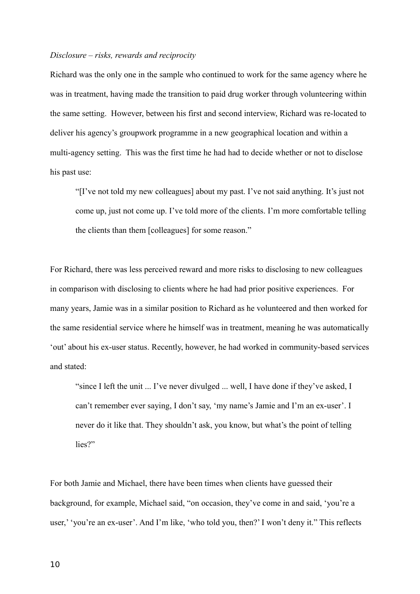#### *Disclosure – risks, rewards and reciprocity*

Richard was the only one in the sample who continued to work for the same agency where he was in treatment, having made the transition to paid drug worker through volunteering within the same setting. However, between his first and second interview, Richard was re-located to deliver his agency's groupwork programme in a new geographical location and within a multi-agency setting. This was the first time he had had to decide whether or not to disclose his past use:

"[I've not told my new colleagues] about my past. I've not said anything. It's just not come up, just not come up. I've told more of the clients. I'm more comfortable telling the clients than them [colleagues] for some reason."

For Richard, there was less perceived reward and more risks to disclosing to new colleagues in comparison with disclosing to clients where he had had prior positive experiences. For many years, Jamie was in a similar position to Richard as he volunteered and then worked for the same residential service where he himself was in treatment, meaning he was automatically 'out' about his ex-user status. Recently, however, he had worked in community-based services and stated:

"since I left the unit ... I've never divulged ... well, I have done if they've asked, I can't remember ever saying, I don't say, 'my name's Jamie and I'm an ex-user'. I never do it like that. They shouldn't ask, you know, but what's the point of telling lies?"

For both Jamie and Michael, there have been times when clients have guessed their background, for example, Michael said, "on occasion, they've come in and said, 'you're a user,' 'you're an ex-user'. And I'm like, 'who told you, then?' I won't deny it." This reflects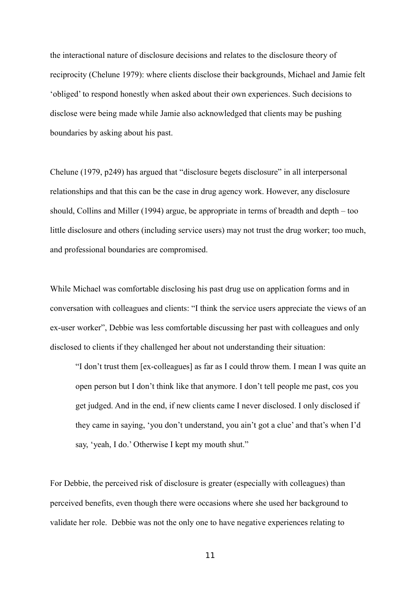the interactional nature of disclosure decisions and relates to the disclosure theory of reciprocity (Chelune 1979): where clients disclose their backgrounds, Michael and Jamie felt 'obliged' to respond honestly when asked about their own experiences. Such decisions to disclose were being made while Jamie also acknowledged that clients may be pushing boundaries by asking about his past.

Chelune (1979, p249) has argued that "disclosure begets disclosure" in all interpersonal relationships and that this can be the case in drug agency work. However, any disclosure should, Collins and Miller (1994) argue, be appropriate in terms of breadth and depth – too little disclosure and others (including service users) may not trust the drug worker; too much, and professional boundaries are compromised.

While Michael was comfortable disclosing his past drug use on application forms and in conversation with colleagues and clients: "I think the service users appreciate the views of an ex-user worker", Debbie was less comfortable discussing her past with colleagues and only disclosed to clients if they challenged her about not understanding their situation:

"I don't trust them [ex-colleagues] as far as I could throw them. I mean I was quite an open person but I don't think like that anymore. I don't tell people me past, cos you get judged. And in the end, if new clients came I never disclosed. I only disclosed if they came in saying, 'you don't understand, you ain't got a clue' and that's when I'd say, 'yeah, I do.' Otherwise I kept my mouth shut."

For Debbie, the perceived risk of disclosure is greater (especially with colleagues) than perceived benefits, even though there were occasions where she used her background to validate her role. Debbie was not the only one to have negative experiences relating to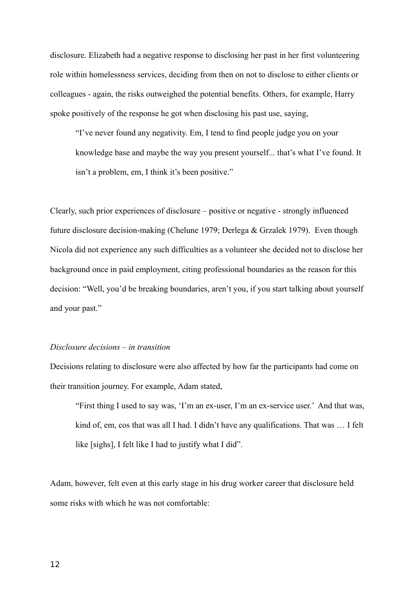disclosure. Elizabeth had a negative response to disclosing her past in her first volunteering role within homelessness services, deciding from then on not to disclose to either clients or colleagues - again, the risks outweighed the potential benefits. Others, for example, Harry spoke positively of the response he got when disclosing his past use, saying,

"I've never found any negativity. Em, I tend to find people judge you on your knowledge base and maybe the way you present yourself... that's what I've found. It isn't a problem, em, I think it's been positive."

Clearly, such prior experiences of disclosure – positive or negative - strongly influenced future disclosure decision-making (Chelune 1979; Derlega & Grzalek 1979). Even though Nicola did not experience any such difficulties as a volunteer she decided not to disclose her background once in paid employment, citing professional boundaries as the reason for this decision: "Well, you'd be breaking boundaries, aren't you, if you start talking about yourself and your past."

# *Disclosure decisions – in transition*

Decisions relating to disclosure were also affected by how far the participants had come on their transition journey. For example, Adam stated,

"First thing I used to say was, 'I'm an ex-user, I'm an ex-service user.' And that was, kind of, em, cos that was all I had. I didn't have any qualifications. That was … I felt like [sighs], I felt like I had to justify what I did".

Adam, however, felt even at this early stage in his drug worker career that disclosure held some risks with which he was not comfortable: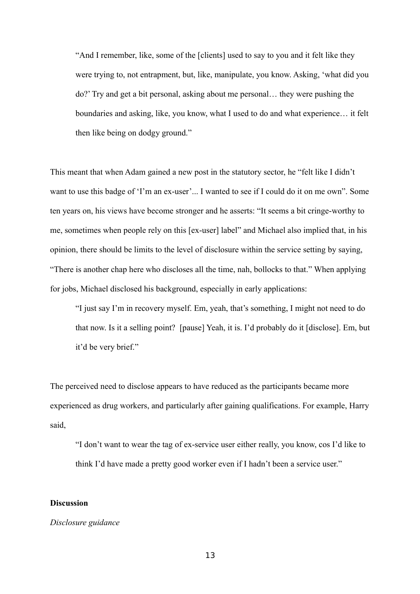"And I remember, like, some of the [clients] used to say to you and it felt like they were trying to, not entrapment, but, like, manipulate, you know. Asking, 'what did you do?' Try and get a bit personal, asking about me personal… they were pushing the boundaries and asking, like, you know, what I used to do and what experience… it felt then like being on dodgy ground."

This meant that when Adam gained a new post in the statutory sector, he "felt like I didn't want to use this badge of 'I'm an ex-user'... I wanted to see if I could do it on me own". Some ten years on, his views have become stronger and he asserts: "It seems a bit cringe-worthy to me, sometimes when people rely on this [ex-user] label" and Michael also implied that, in his opinion, there should be limits to the level of disclosure within the service setting by saying, "There is another chap here who discloses all the time, nah, bollocks to that." When applying for jobs, Michael disclosed his background, especially in early applications:

"I just say I'm in recovery myself. Em, yeah, that's something, I might not need to do that now. Is it a selling point? [pause] Yeah, it is. I'd probably do it [disclose]. Em, but it'd be very brief."

The perceived need to disclose appears to have reduced as the participants became more experienced as drug workers, and particularly after gaining qualifications. For example, Harry said,

"I don't want to wear the tag of ex-service user either really, you know, cos I'd like to think I'd have made a pretty good worker even if I hadn't been a service user."

#### **Discussion**

#### *Disclosure guidance*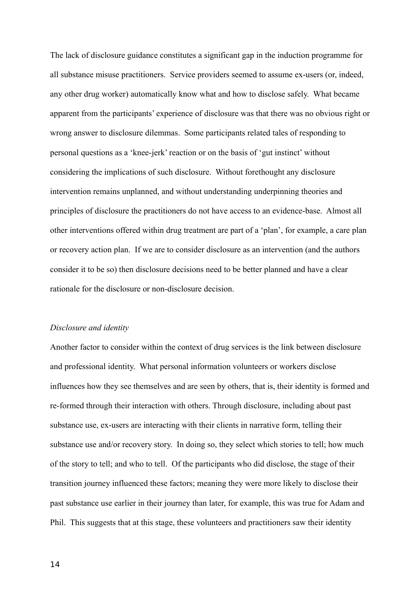The lack of disclosure guidance constitutes a significant gap in the induction programme for all substance misuse practitioners. Service providers seemed to assume ex-users (or, indeed, any other drug worker) automatically know what and how to disclose safely. What became apparent from the participants' experience of disclosure was that there was no obvious right or wrong answer to disclosure dilemmas. Some participants related tales of responding to personal questions as a 'knee-jerk' reaction or on the basis of 'gut instinct' without considering the implications of such disclosure. Without forethought any disclosure intervention remains unplanned, and without understanding underpinning theories and principles of disclosure the practitioners do not have access to an evidence-base. Almost all other interventions offered within drug treatment are part of a 'plan', for example, a care plan or recovery action plan. If we are to consider disclosure as an intervention (and the authors consider it to be so) then disclosure decisions need to be better planned and have a clear rationale for the disclosure or non-disclosure decision.

# *Disclosure and identity*

Another factor to consider within the context of drug services is the link between disclosure and professional identity. What personal information volunteers or workers disclose influences how they see themselves and are seen by others, that is, their identity is formed and re-formed through their interaction with others. Through disclosure, including about past substance use, ex-users are interacting with their clients in narrative form, telling their substance use and/or recovery story. In doing so, they select which stories to tell; how much of the story to tell; and who to tell. Of the participants who did disclose, the stage of their transition journey influenced these factors; meaning they were more likely to disclose their past substance use earlier in their journey than later, for example, this was true for Adam and Phil. This suggests that at this stage, these volunteers and practitioners saw their identity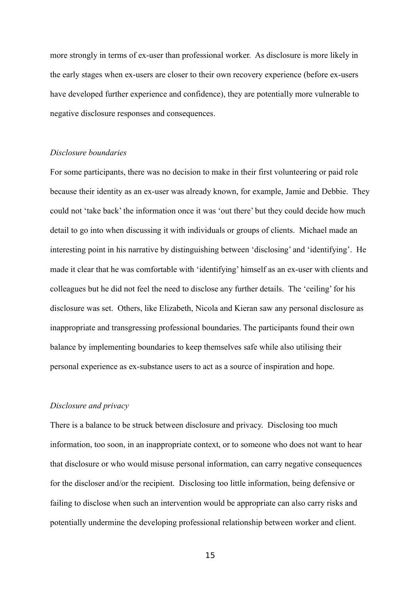more strongly in terms of ex-user than professional worker. As disclosure is more likely in the early stages when ex-users are closer to their own recovery experience (before ex-users have developed further experience and confidence), they are potentially more vulnerable to negative disclosure responses and consequences.

#### *Disclosure boundaries*

For some participants, there was no decision to make in their first volunteering or paid role because their identity as an ex-user was already known, for example, Jamie and Debbie. They could not 'take back' the information once it was 'out there' but they could decide how much detail to go into when discussing it with individuals or groups of clients. Michael made an interesting point in his narrative by distinguishing between 'disclosing' and 'identifying'. He made it clear that he was comfortable with 'identifying' himself as an ex-user with clients and colleagues but he did not feel the need to disclose any further details. The 'ceiling' for his disclosure was set. Others, like Elizabeth, Nicola and Kieran saw any personal disclosure as inappropriate and transgressing professional boundaries. The participants found their own balance by implementing boundaries to keep themselves safe while also utilising their personal experience as ex-substance users to act as a source of inspiration and hope.

#### *Disclosure and privacy*

There is a balance to be struck between disclosure and privacy. Disclosing too much information, too soon, in an inappropriate context, or to someone who does not want to hear that disclosure or who would misuse personal information, can carry negative consequences for the discloser and/or the recipient. Disclosing too little information, being defensive or failing to disclose when such an intervention would be appropriate can also carry risks and potentially undermine the developing professional relationship between worker and client.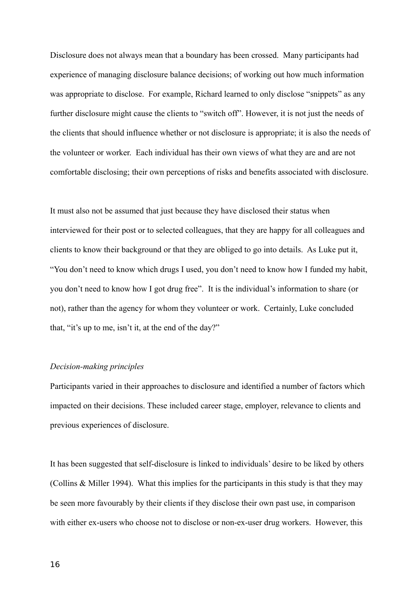Disclosure does not always mean that a boundary has been crossed. Many participants had experience of managing disclosure balance decisions; of working out how much information was appropriate to disclose. For example, Richard learned to only disclose "snippets" as any further disclosure might cause the clients to "switch off". However, it is not just the needs of the clients that should influence whether or not disclosure is appropriate; it is also the needs of the volunteer or worker. Each individual has their own views of what they are and are not comfortable disclosing; their own perceptions of risks and benefits associated with disclosure.

It must also not be assumed that just because they have disclosed their status when interviewed for their post or to selected colleagues, that they are happy for all colleagues and clients to know their background or that they are obliged to go into details. As Luke put it, "You don't need to know which drugs I used, you don't need to know how I funded my habit, you don't need to know how I got drug free". It is the individual's information to share (or not), rather than the agency for whom they volunteer or work. Certainly, Luke concluded that, "it's up to me, isn't it, at the end of the day?"

#### *Decision-making principles*

Participants varied in their approaches to disclosure and identified a number of factors which impacted on their decisions. These included career stage, employer, relevance to clients and previous experiences of disclosure.

It has been suggested that self-disclosure is linked to individuals' desire to be liked by others (Collins & Miller 1994). What this implies for the participants in this study is that they may be seen more favourably by their clients if they disclose their own past use, in comparison with either ex-users who choose not to disclose or non-ex-user drug workers. However, this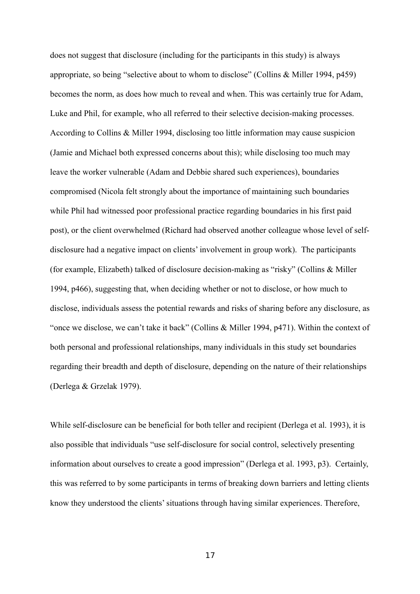does not suggest that disclosure (including for the participants in this study) is always appropriate, so being "selective about to whom to disclose" (Collins & Miller 1994, p459) becomes the norm, as does how much to reveal and when. This was certainly true for Adam, Luke and Phil, for example, who all referred to their selective decision-making processes. According to Collins & Miller 1994, disclosing too little information may cause suspicion (Jamie and Michael both expressed concerns about this); while disclosing too much may leave the worker vulnerable (Adam and Debbie shared such experiences), boundaries compromised (Nicola felt strongly about the importance of maintaining such boundaries while Phil had witnessed poor professional practice regarding boundaries in his first paid post), or the client overwhelmed (Richard had observed another colleague whose level of selfdisclosure had a negative impact on clients' involvement in group work). The participants (for example, Elizabeth) talked of disclosure decision-making as "risky" (Collins & Miller 1994, p466), suggesting that, when deciding whether or not to disclose, or how much to disclose, individuals assess the potential rewards and risks of sharing before any disclosure, as "once we disclose, we can't take it back" (Collins & Miller 1994, p471). Within the context of both personal and professional relationships, many individuals in this study set boundaries regarding their breadth and depth of disclosure, depending on the nature of their relationships (Derlega & Grzelak 1979).

While self-disclosure can be beneficial for both teller and recipient (Derlega et al. 1993), it is also possible that individuals "use self-disclosure for social control, selectively presenting information about ourselves to create a good impression" (Derlega et al. 1993, p3). Certainly, this was referred to by some participants in terms of breaking down barriers and letting clients know they understood the clients' situations through having similar experiences. Therefore,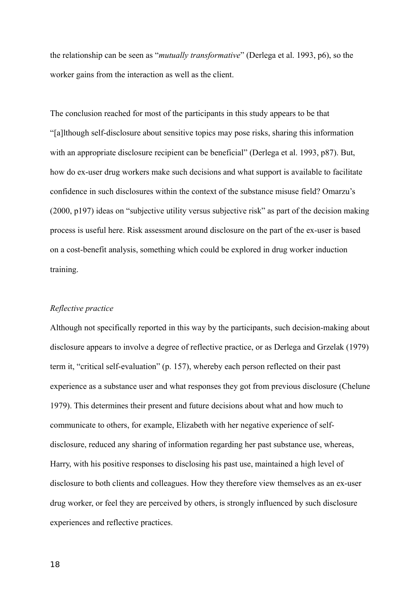the relationship can be seen as "*mutually transformative*" (Derlega et al. 1993, p6), so the worker gains from the interaction as well as the client.

The conclusion reached for most of the participants in this study appears to be that "[a]lthough self-disclosure about sensitive topics may pose risks, sharing this information with an appropriate disclosure recipient can be beneficial" (Derlega et al. 1993, p87). But, how do ex-user drug workers make such decisions and what support is available to facilitate confidence in such disclosures within the context of the substance misuse field? Omarzu's (2000, p197) ideas on "subjective utility versus subjective risk" as part of the decision making process is useful here. Risk assessment around disclosure on the part of the ex-user is based on a cost-benefit analysis, something which could be explored in drug worker induction training.

#### *Reflective practice*

Although not specifically reported in this way by the participants, such decision-making about disclosure appears to involve a degree of reflective practice, or as Derlega and Grzelak (1979) term it, "critical self-evaluation" (p. 157), whereby each person reflected on their past experience as a substance user and what responses they got from previous disclosure (Chelune 1979). This determines their present and future decisions about what and how much to communicate to others, for example, Elizabeth with her negative experience of selfdisclosure, reduced any sharing of information regarding her past substance use, whereas, Harry, with his positive responses to disclosing his past use, maintained a high level of disclosure to both clients and colleagues. How they therefore view themselves as an ex-user drug worker, or feel they are perceived by others, is strongly influenced by such disclosure experiences and reflective practices.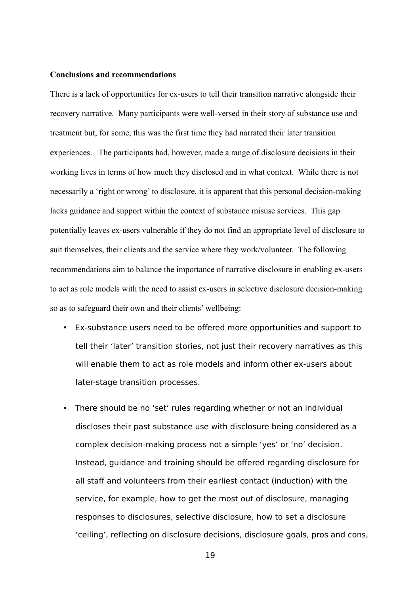# **Conclusions and recommendations**

There is a lack of opportunities for ex-users to tell their transition narrative alongside their recovery narrative. Many participants were well-versed in their story of substance use and treatment but, for some, this was the first time they had narrated their later transition experiences. The participants had, however, made a range of disclosure decisions in their working lives in terms of how much they disclosed and in what context. While there is not necessarily a 'right or wrong' to disclosure, it is apparent that this personal decision-making lacks guidance and support within the context of substance misuse services. This gap potentially leaves ex-users vulnerable if they do not find an appropriate level of disclosure to suit themselves, their clients and the service where they work/volunteer. The following recommendations aim to balance the importance of narrative disclosure in enabling ex-users to act as role models with the need to assist ex-users in selective disclosure decision-making so as to safeguard their own and their clients' wellbeing:

- Ex-substance users need to be offered more opportunities and support to tell their 'later' transition stories, not just their recovery narratives as this will enable them to act as role models and inform other ex-users about later-stage transition processes.
- There should be no 'set' rules regarding whether or not an individual discloses their past substance use with disclosure being considered as a complex decision-making process not a simple 'yes' or 'no' decision. Instead, guidance and training should be offered regarding disclosure for all staff and volunteers from their earliest contact (induction) with the service, for example, how to get the most out of disclosure, managing responses to disclosures, selective disclosure, how to set a disclosure 'ceiling', reflecting on disclosure decisions, disclosure goals, pros and cons,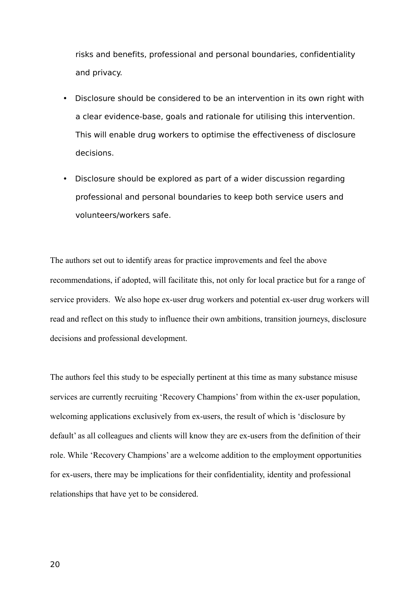risks and benefits, professional and personal boundaries, confidentiality and privacy.

- Disclosure should be considered to be an intervention in its own right with a clear evidence-base, goals and rationale for utilising this intervention. This will enable drug workers to optimise the effectiveness of disclosure decisions.
- Disclosure should be explored as part of a wider discussion regarding professional and personal boundaries to keep both service users and volunteers/workers safe.

The authors set out to identify areas for practice improvements and feel the above recommendations, if adopted, will facilitate this, not only for local practice but for a range of service providers. We also hope ex-user drug workers and potential ex-user drug workers will read and reflect on this study to influence their own ambitions, transition journeys, disclosure decisions and professional development.

The authors feel this study to be especially pertinent at this time as many substance misuse services are currently recruiting 'Recovery Champions' from within the ex-user population, welcoming applications exclusively from ex-users, the result of which is 'disclosure by default' as all colleagues and clients will know they are ex-users from the definition of their role. While 'Recovery Champions' are a welcome addition to the employment opportunities for ex-users, there may be implications for their confidentiality, identity and professional relationships that have yet to be considered.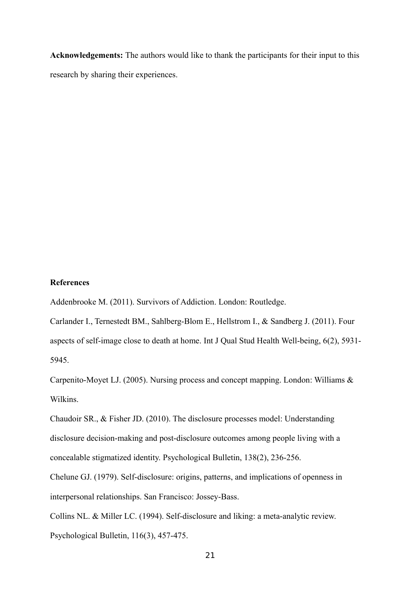**Acknowledgements:** The authors would like to thank the participants for their input to this research by sharing their experiences.

# **References**

Addenbrooke M. (2011). Survivors of Addiction. London: Routledge.

Carlander I., Ternestedt BM., Sahlberg-Blom E., Hellstrom I., & Sandberg J. (2011). Four aspects of self-image close to death at home. Int J Qual Stud Health Well-being, 6(2), 5931- 5945.

Carpenito-Moyet LJ. (2005). Nursing process and concept mapping. London: Williams & Wilkins.

Chaudoir SR., & Fisher JD. (2010). The disclosure processes model: Understanding disclosure decision-making and post-disclosure outcomes among people living with a concealable stigmatized identity. Psychological Bulletin, 138(2), 236-256.

Chelune GJ. (1979). Self-disclosure: origins, patterns, and implications of openness in interpersonal relationships. San Francisco: Jossey-Bass.

Collins NL. & Miller LC. (1994). Self-disclosure and liking: a meta-analytic review. Psychological Bulletin, 116(3), 457-475.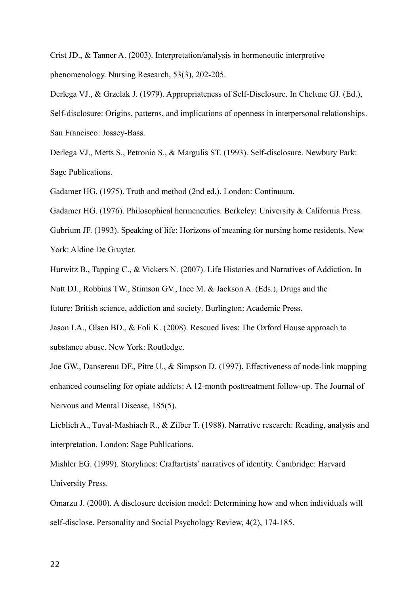Crist JD., & Tanner A. (2003). Interpretation/analysis in hermeneutic interpretive phenomenology. Nursing Research, 53(3), 202-205.

Derlega VJ., & Grzelak J. (1979). Appropriateness of Self-Disclosure. In Chelune GJ. (Ed.), Self-disclosure: Origins, patterns, and implications of openness in interpersonal relationships. San Francisco: Jossey-Bass.

Derlega VJ., Metts S., Petronio S., & Margulis ST. (1993). Self-disclosure. Newbury Park: Sage Publications.

Gadamer HG. (1975). Truth and method (2nd ed.). London: Continuum.

Gadamer HG. (1976). Philosophical hermeneutics. Berkeley: University & California Press.

Gubrium JF. (1993). Speaking of life: Horizons of meaning for nursing home residents. New York: Aldine De Gruyter.

Hurwitz B., Tapping C., & Vickers N. (2007). Life Histories and Narratives of Addiction. In Nutt DJ., Robbins TW., Stimson GV., Ince M. & Jackson A. (Eds.), Drugs and the future: British science, addiction and society. Burlington: Academic Press.

Jason LA., Olsen BD., & Foli K. (2008). Rescued lives: The Oxford House approach to substance abuse. New York: Routledge.

Joe GW., Dansereau DF., Pitre U., & Simpson D. (1997). Effectiveness of node-link mapping enhanced counseling for opiate addicts: A 12-month posttreatment follow-up. The Journal of Nervous and Mental Disease, 185(5).

Lieblich A., Tuval-Mashiach R., & Zilber T. (1988). Narrative research: Reading, analysis and interpretation. London: Sage Publications.

Mishler EG. (1999). Storylines: Craftartists' narratives of identity. Cambridge: Harvard University Press.

Omarzu J. (2000). A disclosure decision model: Determining how and when individuals will self-disclose. Personality and Social Psychology Review, 4(2), 174-185.